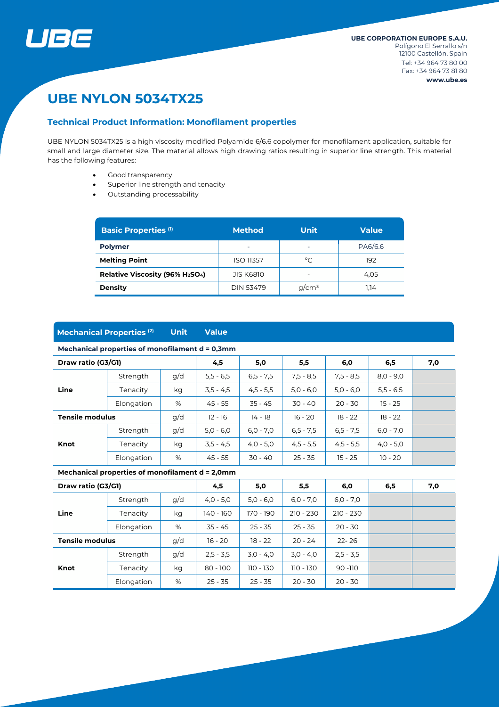

# **UBE NYLON 5034TX25**

#### **Technical Product Information: Monofilament properties**

UBE NYLON 5034TX25 is a high viscosity modified Polyamide 6/6.6 copolymer for monofilament application, suitable for small and large diameter size. The material allows high drawing ratios resulting in superior line strength. This material has the following features:

- Good transparency
- Superior line strength and tenacity
- Outstanding processability

| <b>Basic Properties (1)</b>    | <b>Method</b>            | Unit     | <b>Value</b> |
|--------------------------------|--------------------------|----------|--------------|
| <b>Polymer</b>                 | $\overline{\phantom{0}}$ |          | PA6/6.6      |
| <b>Melting Point</b>           | <b>ISO 11357</b>         | °C       | 192          |
| Relative Viscosity (96% H2SO4) | <b>JIS K6810</b>         |          | 4.05         |
| <b>Density</b>                 | DIN 53479                | $q/cm^3$ | 1.14         |

#### **Mechanical Properties (2) Unit Value**

#### **Mechanical properties of monofilament d = 0,3mm**

| Draw ratio (G3/G1)     |            |     | 4,5         | 5,0         | 5,5         | 6,0         | 6,5         | 7,0 |
|------------------------|------------|-----|-------------|-------------|-------------|-------------|-------------|-----|
| Line                   | Strength   | g/d | $5,5 - 6,5$ | $6,5 - 7,5$ | $7.5 - 8.5$ | $7.5 - 8.5$ | $8.0 - 9.0$ |     |
|                        | Tenacity   | kg  | $3,5 - 4,5$ | $4,5 - 5,5$ | $5.0 - 6.0$ | $5,0 - 6,0$ | $5,5 - 6,5$ |     |
|                        | Elongation | %   | $45 - 55$   | $35 - 45$   | $30 - 40$   | $20 - 30$   | $15 - 25$   |     |
| <b>Tensile modulus</b> |            | g/d | $12 - 16$   | 14 - 18     | $16 - 20$   | $18 - 22$   | $18 - 22$   |     |
| Knot                   | Strength   | g/d | $5.0 - 6.0$ | $6,0 - 7,0$ | $6,5 - 7,5$ | $6,5 - 7,5$ | $6,0 - 7,0$ |     |
|                        | Tenacity   | kg  | $3,5 - 4,5$ | $4,0 - 5,0$ | $4,5 - 5,5$ | $4,5 - 5,5$ | $4,0 - 5,0$ |     |
|                        | Elongation | %   | $45 - 55$   | $30 - 40$   | $25 - 35$   | $15 - 25$   | $10 - 20$   |     |

#### **Mechanical properties of monofilament d = 2,0mm**

| Draw ratio (G3/G1)     |            |     | 4,5         | 5,0         | 5,5         | 6,0         | 6,5 | 7,0 |
|------------------------|------------|-----|-------------|-------------|-------------|-------------|-----|-----|
|                        | Strength   | g/d | $4,0 - 5,0$ | $5.0 - 6.0$ | $6,0 - 7,0$ | $6,0 - 7,0$ |     |     |
| Line                   | Tenacity   | kg  | 140 - 160   | 170 - 190   | $210 - 230$ | $210 - 230$ |     |     |
|                        | Elongation | %   | $35 - 45$   | $25 - 35$   | $25 - 35$   | $20 - 30$   |     |     |
| <b>Tensile modulus</b> |            | g/d | $16 - 20$   | $18 - 22$   | $20 - 24$   | $22 - 26$   |     |     |
|                        | Strength   | g/d | $2,5 - 3,5$ | $3,0 - 4,0$ | $3,0 - 4,0$ | $2.5 - 3.5$ |     |     |
| Knot                   | Tenacity   | kg  | $80 - 100$  | 110 - 130   | 110 - 130   | $90 - 110$  |     |     |
|                        | Elongation | %   | $25 - 35$   | $25 - 35$   | $20 - 30$   | $20 - 30$   |     |     |